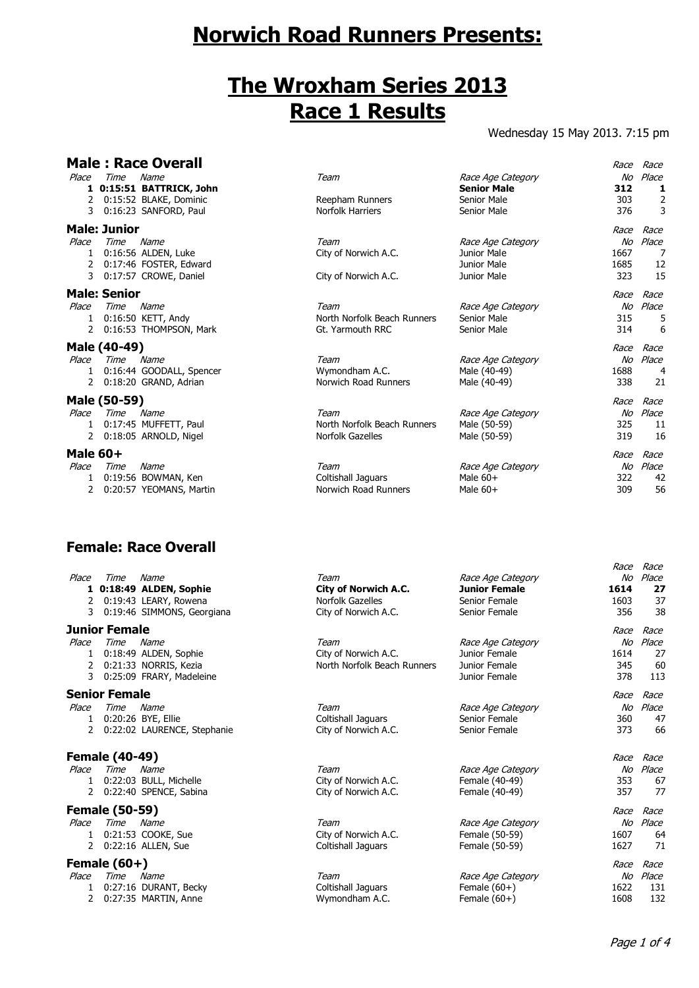# **Norwich Road Runners Presents:**

## **The Wroxham Series 2013 Race 1 Results**

### Wednesday 15 May 2013. 7:15 pm

|                                 |                       | <b>Male: Race Overall</b>                                                                  |                                                                                 |                                                                             | Race                        | Race                               |
|---------------------------------|-----------------------|--------------------------------------------------------------------------------------------|---------------------------------------------------------------------------------|-----------------------------------------------------------------------------|-----------------------------|------------------------------------|
| Place<br>2                      | Time                  | Name<br>1 0:15:51 BATTRICK, John<br>0:15:52 BLAKE, Dominic<br>3 0:16:23 SANFORD, Paul      | Team<br>Reepham Runners<br>Norfolk Harriers                                     | Race Age Category<br><b>Senior Male</b><br>Senior Male<br>Senior Male       | 312<br>303<br>376           | No Place<br>1<br>2<br>3            |
|                                 | <b>Male: Junior</b>   |                                                                                            |                                                                                 |                                                                             | Race                        | Race                               |
| Place<br>$\mathbf{1}$<br>2<br>3 | Time Name             | 0:16:56 ALDEN, Luke<br>0:17:46 FOSTER, Edward<br>0:17:57 CROWE, Daniel                     | Team<br>City of Norwich A.C.<br>City of Norwich A.C.                            | Race Age Category<br>Junior Male<br>Junior Male<br>Junior Male              | 1667<br>1685<br>323         | No Place<br>7<br>12<br>15          |
|                                 | <b>Male: Senior</b>   |                                                                                            |                                                                                 |                                                                             | Race                        | Race                               |
| Place<br>$\mathbf{2}$           | Time                  | Name<br>1 0:16:50 KETT, Andy<br>0:16:53 THOMPSON, Mark                                     | Team<br>North Norfolk Beach Runners<br>Gt. Yarmouth RRC                         | Race Age Category<br>Senior Male<br>Senior Male                             | No<br>315<br>314            | Place<br>5<br>6                    |
|                                 | Male (40-49)          |                                                                                            |                                                                                 |                                                                             | Race                        | Race                               |
| Place<br>1<br>2                 | Time                  | Name<br>0:16:44 GOODALL, Spencer<br>0:18:20 GRAND, Adrian                                  | Team<br>Wymondham A.C.<br>Norwich Road Runners                                  | Race Age Category<br>Male (40-49)<br>Male (40-49)                           | 1688<br>338                 | No Place<br>4<br>21                |
|                                 | Male (50-59)          |                                                                                            |                                                                                 |                                                                             | Race                        | Race                               |
| Place                           | Time                  | Name<br>1 0:17:45 MUFFETT, Paul<br>2 0:18:05 ARNOLD, Nigel                                 | Team<br>North Norfolk Beach Runners<br>Norfolk Gazelles                         | Race Age Category<br>Male (50-59)<br>Male (50-59)                           | 325<br>319                  | No Place<br>11<br>16               |
| <b>Male 60+</b>                 |                       |                                                                                            |                                                                                 |                                                                             | Race                        | Race                               |
| Place<br>1<br>2                 | Time                  | Name<br>0:19:56 BOWMAN, Ken<br>0:20:57 YEOMANS, Martin                                     | Team<br>Coltishall Jaguars<br>Norwich Road Runners                              | Race Age Category<br>Male $60+$<br>Male $60+$                               | 322<br>309                  | No Place<br>42<br>56               |
|                                 |                       | <b>Female: Race Overall</b>                                                                |                                                                                 |                                                                             |                             |                                    |
| Place                           | Time                  | Name<br>1 0:18:49 ALDEN, Sophie<br>2 0:19:43 LEARY, Rowena<br>3 0:19:46 SIMMONS, Georgiana | Team<br><b>City of Norwich A.C.</b><br>Norfolk Gazelles<br>City of Norwich A.C. | Race Age Category<br><b>Junior Female</b><br>Senior Female<br>Senior Female | Race<br>1614<br>1603<br>356 | Race<br>No Place<br>27<br>37<br>38 |
|                                 | <b>Junior Female</b>  |                                                                                            |                                                                                 |                                                                             | Race                        | Race                               |
| Place<br>$\mathbf{1}$<br>2<br>3 | Time                  | Name<br>0:18:49 ALDEN, Sophie<br>0:21:33 NORRIS, Kezia<br>0:25:09 FRARY, Madeleine         | Team<br>City of Norwich A.C.<br>North Norfolk Beach Runners                     | Race Age Category<br>Junior Female<br>Junior Female<br>Junior Female        | 1614<br>345<br>378          | No Place<br>27<br>60<br>113        |
|                                 | <b>Senior Female</b>  |                                                                                            |                                                                                 |                                                                             | Race Race                   |                                    |
| Place<br>1                      | Time                  | Name<br>0:20:26 BYE, Ellie<br>2 0:22:02 LAURENCE, Stephanie                                | Team<br>Coltishall Jaguars<br>City of Norwich A.C.                              | Race Age Category<br>Senior Female<br>Senior Female                         | 360<br>373                  | No Place<br>47<br>66               |
|                                 | <b>Female (40-49)</b> |                                                                                            |                                                                                 |                                                                             | Race Race                   |                                    |
| Place<br>1<br>$\mathbf{2}$      | Time                  | Name<br>0:22:03 BULL, Michelle<br>0:22:40 SPENCE, Sabina                                   | Team<br>City of Norwich A.C.<br>City of Norwich A.C.                            | Race Age Category<br>Female (40-49)<br>Female (40-49)                       | 353<br>357                  | No Place<br>67<br>77               |

#### **Female (50-59)** Race Race

- Place Time Name Team Race Age Category No Place
	- 1 0:21:53 COOKE, Sue City of Norwich A.C. Female (50-59) 1607 64 2 0:22:16 ALLEN, Sue Coltishall Jaguars Female (50-59) 1627 71

### **Female (60+)** Race Race

- Place Time Name Team Race Age Category No Place
	- 1 0:27:16 DURANT, Becky Coltishall Jaguars Female (60+) 1622 131
	- 2 0:27:35 MARTIN, Anne Wymondham A.C. Female (60+) 1608 132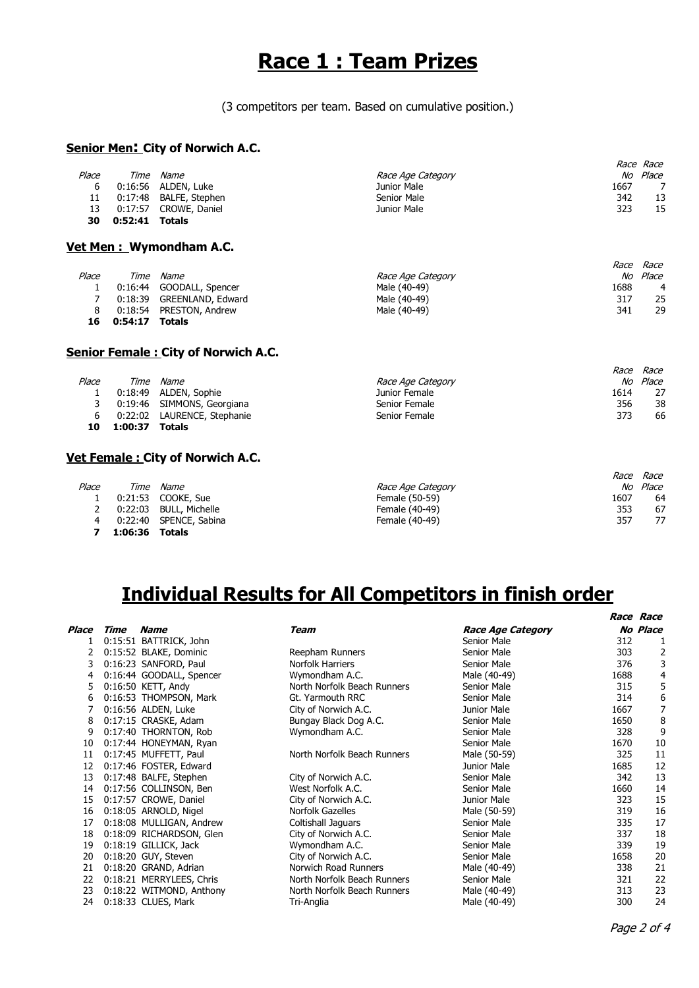## **Race 1 : Team Prizes**

(3 competitors per team. Based on cumulative position.)

### **Senior Men: City of Norwich A.C.**

|       |                |                        |                   | <i>Race Race</i> |    |
|-------|----------------|------------------------|-------------------|------------------|----|
| Place | Time           | Name                   | Race Age Category | Place<br>No      |    |
| 6     |                | 0:16:56 ALDEN, Luke    | Junior Male       | 1667             | 7  |
| 11    |                | 0:17:48 BALFE, Stephen | Senior Male       | 342              | 13 |
| 13    |                | 0:17:57 CROWE, Daniel  | Junior Male       | 323              | 15 |
| 30    | 0:52:41 Totals |                        |                   |                  |    |
|       |                |                        |                   |                  |    |

### **Vet Men : Wymondham A.C.**

|       |         |                           |                   | Race | Race  |
|-------|---------|---------------------------|-------------------|------|-------|
| Place | Time    | <i>Name</i>               | Race Age Category | No   | Place |
|       |         | 0:16:44 GOODALL, Spencer  | Male (40-49)      | 1688 | 4     |
|       |         | 0:18:39 GREENLAND, Edward | Male (40-49)      | 317  | 25    |
|       |         | 0:18:54 PRESTON, Andrew   | Male (40-49)      | 341  | 29    |
| 16    | 0:54:17 | <b>Totals</b>             |                   |      |       |

#### **Senior Female : City of Norwich A.C.**

| Place | Time    | <i>Name</i>                 | Race Age Category | No   | Place |
|-------|---------|-----------------------------|-------------------|------|-------|
|       |         | 0:18:49 ALDEN, Sophie       | Junior Female     | 1614 | 27    |
|       |         | 0:19:46 SIMMONS, Georgiana  | Senior Female     | 356  | 38    |
| ь     |         | 0:22:02 LAURENCE, Stephanie | Senior Female     | 373  | 66    |
| 10    | 1:00:37 | <b>Totals</b>               |                   |      |       |
|       |         |                             |                   |      |       |

### **Vet Female : City of Norwich A.C.**

|       |         |                        |                   | <i>Race</i> | Race     |
|-------|---------|------------------------|-------------------|-------------|----------|
| Place | Time    | Name                   | Race Age Category |             | No Place |
|       |         | 0:21:53 COOKE, Sue     | Female (50-59)    | 1607        | 64       |
|       |         | 0:22:03 BULL, Michelle | Female (40-49)    | 353         | 67       |
|       |         | 0:22:40 SPENCE, Sabina | Female (40-49)    | 357         | 77       |
|       | 1:06:36 | Totals                 |                   |             |          |

## **Individual Results for All Competitors in finish order**

| Place | Time | <b>Name</b>              | Team                        | <b>Race Age Category</b> |      | <b>No Place</b> |
|-------|------|--------------------------|-----------------------------|--------------------------|------|-----------------|
|       |      | 0:15:51 BATTRICK, John   |                             | Senior Male              | 312  |                 |
| 2     |      | 0:15:52 BLAKE, Dominic   | Reepham Runners             | Senior Male              | 303  | 2               |
| 3     |      | 0:16:23 SANFORD, Paul    | <b>Norfolk Harriers</b>     | Senior Male              | 376  | 3               |
| 4     |      | 0:16:44 GOODALL, Spencer | Wymondham A.C.              | Male (40-49)             | 1688 | 4               |
| 5     |      | 0:16:50 KETT, Andy       | North Norfolk Beach Runners | Senior Male              | 315  | 5               |
| 6     |      | 0:16:53 THOMPSON, Mark   | Gt. Yarmouth RRC            | Senior Male              | 314  | 6               |
|       |      | 0:16:56 ALDEN, Luke      | City of Norwich A.C.        | Junior Male              | 1667 | 7               |
| 8     |      | 0:17:15 CRASKE, Adam     | Bungay Black Dog A.C.       | Senior Male              | 1650 | 8               |
| 9     |      | 0:17:40 THORNTON, Rob    | Wymondham A.C.              | Senior Male              | 328  | 9               |
| 10    |      | 0:17:44 HONEYMAN, Ryan   |                             | Senior Male              | 1670 | 10              |
| 11    |      | 0:17:45 MUFFETT, Paul    | North Norfolk Beach Runners | Male (50-59)             | 325  | 11              |
| 12    |      | 0:17:46 FOSTER, Edward   |                             | Junior Male              | 1685 | 12              |
| 13    |      | 0:17:48 BALFE, Stephen   | City of Norwich A.C.        | Senior Male              | 342  | 13              |
| 14    |      | 0:17:56 COLLINSON, Ben   | West Norfolk A.C.           | Senior Male              | 1660 | 14              |
| 15    |      | 0:17:57 CROWE, Daniel    | City of Norwich A.C.        | Junior Male              | 323  | 15              |
| 16    |      | 0:18:05 ARNOLD, Nigel    | Norfolk Gazelles            | Male (50-59)             | 319  | 16              |
| 17    |      | 0:18:08 MULLIGAN, Andrew | Coltishall Jaquars          | Senior Male              | 335  | 17              |
| 18    |      | 0:18:09 RICHARDSON, Glen | City of Norwich A.C.        | Senior Male              | 337  | 18              |
| 19    |      | 0:18:19 GILLICK, Jack    | Wymondham A.C.              | Senior Male              | 339  | 19              |
| 20    |      | 0:18:20 GUY, Steven      | City of Norwich A.C.        | Senior Male              | 1658 | 20              |
| 21    |      | 0:18:20 GRAND, Adrian    | Norwich Road Runners        | Male (40-49)             | 338  | 21              |
| 22    |      | 0:18:21 MERRYLEES, Chris | North Norfolk Beach Runners | Senior Male              | 321  | 22              |
| 23    |      | 0:18:22 WITMOND, Anthony | North Norfolk Beach Runners | Male (40-49)             | 313  | 23              |
| 24    |      | 0:18:33 CLUES, Mark      | Tri-Anglia                  | Male (40-49)             | 300  | 24              |
|       |      |                          |                             |                          |      |                 |

Race Race

**Race Race**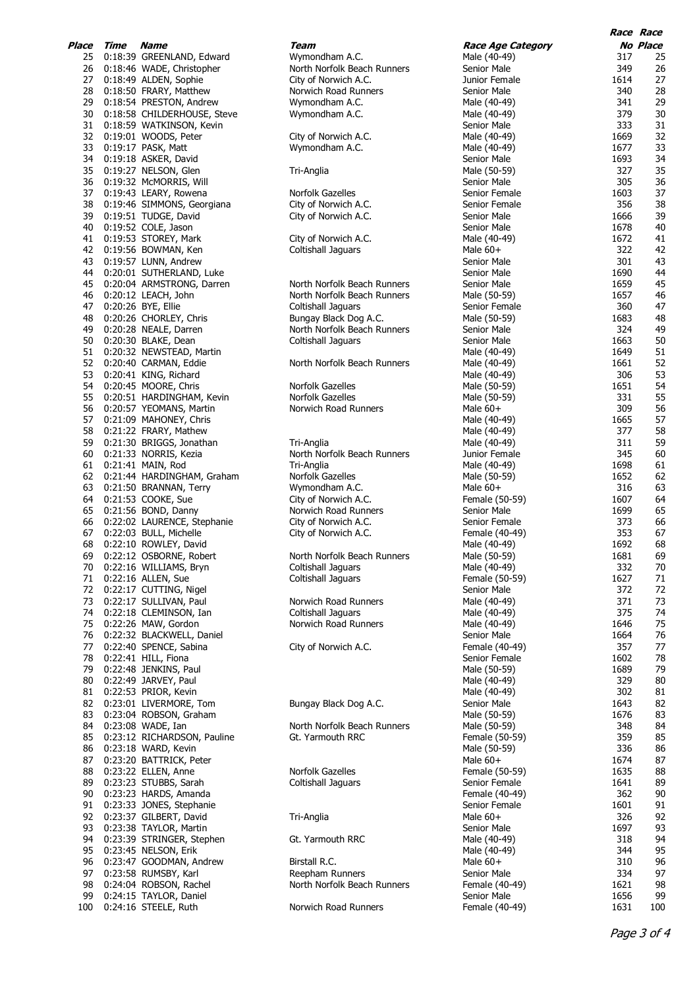| lace     | Time               | Name                                  |
|----------|--------------------|---------------------------------------|
| 25       | 0:18:39            | GREENLAND, Edward                     |
| 26       | 0:18:46            | WADE, Christopher                     |
| 27<br>28 | 0:18:49<br>0:18:50 | ALDEN, Sophie<br>FRARY, Matthew       |
| 29       | 0:18:54            | PRESTON, Andrew                       |
| 30       | 0:18:58            | CHILDERHOUSE, Steve                   |
| 31       | 0:18:59            | WATKINSON, Kevin                      |
| 32       | 0:19:01            | WOODS, Peter                          |
| 33       | 0:19:17            | PASK, Matt                            |
| 34       | 0:19:18<br>0:19:27 | ASKER, David                          |
| 35<br>36 | 0:19:32            | NELSON, Glen<br>McMORRIS, Will        |
| 37       | 0:19:43            | LEARY, Rowena                         |
| 38       | 0:19:46            | SIMMONS, Georgiana                    |
| 39       | 0:19:51            | TUDGE, David                          |
| 40       | 0:19:52            | COLE, Jason                           |
| 41       | 0:19:53            | STOREY, Mark                          |
| 42       | 0:19:56<br>0:19:57 | BOWMAN, Ken                           |
| 43<br>44 | 0:20:01            | LUNN, Andrew<br>SUTHERLAND, Luke      |
| 45       | 0:20:04            | ARMSTRONG, Darren                     |
| 46       | 0:20:12            | LEACH, John                           |
| 47       | 0:20:26            | BYE, Ellie                            |
| 48       | 0:20:26            | CHORLEY, Chris                        |
| 49       | 0:20:28            | NEALE, Darren                         |
| 50       | 0:20:30            | <b>BLAKE, Dean</b>                    |
| 51       | 0:20:32            | NEWSTEAD, Martin                      |
| 52<br>53 | 0:20:40<br>0:20:41 | CARMAN, Eddie<br>KING, Richard        |
| 54       | 0:20:45            | MOORE, Chris                          |
| 55       | 0:20:51            | HARDINGHAM, Kevin                     |
| 56       | 0:20:57            | YEOMANS, Martin                       |
| 57       | 0:21:09            | MAHONEY, Chris                        |
| 58       | 0:21:22            | FRARY, Mathew<br>BRIGGS, Jonathan     |
| 59       | 0:21:30            |                                       |
| 60       | 0:21:33            | NORRIS, Kezia                         |
| 61<br>62 | 0:21:41<br>0:21:44 | MAIN, Rod<br>HARDINGHAM, Graham       |
| 63       | 0:21:50            | <b>BRANNAN, Terry</b>                 |
| 64       | 0:21:53            | COOKE, Sue                            |
| 65       | 0:21:56            | BOND, Danny                           |
| 66       | 0:22:02            | LAURENCE, Stephanie                   |
| 67       | 0:22:03            | <b>BULL, Michelle</b>                 |
| 68       | 0:22:10            | ROWLEY, David                         |
| 69       | 0:22:12            | OSBORNE, Robert                       |
| 70<br>71 | 0:22:16<br>0:22:16 | WILLIAMS, Bryn<br>ALLEN, Sue          |
| 72       | 0:22:17            | CUTTING, Nigel                        |
| 73       | 0:22:17            | SULLIVAN, Paul                        |
| 74       | 0:22:18            | CLEMINSON, Ian                        |
| 75       | 0:22:26            | MAW, Gordon                           |
| 76       | 0:22:32            | <b>BLACKWELL, Daniel</b>              |
| 77       | 0:22:40            | SPENCE, Sabina                        |
| 78<br>79 | 0:22:41<br>0:22:48 | HILL, Fiona<br>JENKINS, Paul          |
| 80       | 0:22:49            | JARVEY, Paul                          |
| 81       | 0:22:53            | PRIOR, Kevin                          |
| 82       | 0:23:01            | LIVERMORE, Tom                        |
| 83       | 0:23:04            | ROBSON, Graham                        |
| 84       | 0:23:08            | WADE, Ian                             |
| 85       | 0:23:12            | RICHARDSON, Pauline                   |
| 86       | 0:23:18            | WARD, Kevin                           |
| 87<br>88 | 0:23:20<br>0:23:22 | <b>BATTRICK, Peter</b><br>ELLEN, Anne |
| 89       | 0:23:23            | STUBBS, Sarah                         |
| 90       | 0:23:23            | HARDS, Amanda                         |
| 91       | 0:23:33            | JONES, Stephanie                      |
| 92       | 0:23:37            | GILBERT, David                        |
| 93       | 0:23:38            | TAYLOR, Martin                        |
| 94       | 0:23:39            | STRINGER, Stephen                     |
| 95<br>96 | 0:23:45<br>0:23:47 | NELSON, Erik<br>GOODMAN, Andrew       |
| 97       | 0:23:58            | RUMSBY, Karl                          |
| 98       | 0:24:04            | ROBSON, Rachel                        |
| 99       | 0:24:15            | TAYLOR, Daniel                        |
| 100      | 0:24:16            | STEELE, Ruth                          |
|          |                    |                                       |

| Place | Time | Name                          | Team                                     | <b>Race Age Category</b> |      | <i><b>No Place</b></i> |
|-------|------|-------------------------------|------------------------------------------|--------------------------|------|------------------------|
| 25    |      | 0:18:39 GREENLAND, Edward     | Wymondham A.C.                           | Male (40-49)             | 317  | 25                     |
| 26    |      | 0:18:46 WADE, Christopher     | North Norfolk Beach Runners              | Senior Male              | 349  | 26                     |
| 27    |      | 0:18:49 ALDEN, Sophie         | City of Norwich A.C.                     | Junior Female            | 1614 | 27                     |
| 28    |      | 0:18:50 FRARY, Matthew        | Norwich Road Runners                     | Senior Male              | 340  | 28                     |
| 29    |      | 0:18:54 PRESTON, Andrew       | Wymondham A.C.                           | Male (40-49)             | 341  | 2s                     |
| 30    |      | 0:18:58 CHILDERHOUSE, Steve   | Wymondham A.C.                           | Male (40-49)             | 379  | 3 <sub>0</sub>         |
|       |      | 31 0:18:59 WATKINSON, Kevin   |                                          | Senior Male              | 333  | 31                     |
|       |      | 32 0:19:01 WOODS, Peter       | City of Norwich A.C.                     | Male (40-49)             | 1669 | 32                     |
| 33    |      | 0:19:17 PASK, Matt            | Wymondham A.C.                           | Male (40-49)             | 1677 | 33                     |
|       |      | 34 0:19:18 ASKER, David       |                                          | Senior Male              | 1693 | 34                     |
| 35    |      |                               |                                          |                          | 327  | 35                     |
|       |      | 0:19:27 NELSON, Glen          | Tri-Anglia                               | Male (50-59)             |      |                        |
|       |      | 36 0:19:32 McMORRIS, Will     |                                          | Senior Male              | 305  | 36                     |
| 37    |      | 0:19:43 LEARY, Rowena         | Norfolk Gazelles                         | Senior Female            | 1603 | 37                     |
| 38    |      | 0:19:46 SIMMONS, Georgiana    | City of Norwich A.C.                     | Senior Female            | 356  | 38                     |
|       |      | 39 0:19:51 TUDGE, David       | City of Norwich A.C.                     | Senior Male              | 1666 | 39                     |
| 40    |      | 0:19:52 COLE, Jason           |                                          | Senior Male              | 1678 | 40                     |
|       |      | 41 0:19:53 STOREY, Mark       | City of Norwich A.C.                     | Male (40-49)             | 1672 | 41                     |
|       |      | 42 0:19:56 BOWMAN, Ken        | <b>Coltishall Jaguars</b>                | Male $60+$               | 322  | 42                     |
| 43    |      | 0:19:57 LUNN, Andrew          |                                          | Senior Male              | 301  | 43                     |
| 44    |      | 0:20:01 SUTHERLAND, Luke      |                                          | Senior Male              | 1690 | 44                     |
| 45    |      | 0:20:04 ARMSTRONG, Darren     | North Norfolk Beach Runners              | Senior Male              | 1659 | 45                     |
|       |      | 46 0:20:12 LEACH, John        | North Norfolk Beach Runners              | Male (50-59)             | 1657 | 46                     |
|       |      | 47 0:20:26 BYE, Ellie         | Coltishall Jaguars                       | Senior Female            | 360  | 47                     |
| 48    |      | 0:20:26 CHORLEY, Chris        | Bungay Black Dog A.C.                    | Male (50-59)             | 1683 | 48                     |
| 49    |      | 0:20:28 NEALE, Darren         | North Norfolk Beach Runners              | Senior Male              | 324  | 49                     |
| 50    |      | 0:20:30 BLAKE, Dean           | <b>Coltishall Jaquars</b>                | Senior Male              | 1663 | 50                     |
| 51    |      | 0:20:32 NEWSTEAD, Martin      |                                          | Male (40-49)             | 1649 | 51                     |
|       |      | 52 0:20:40 CARMAN, Eddie      | North Norfolk Beach Runners              | Male (40-49)             | 1661 | 52                     |
|       |      |                               |                                          |                          | 306  |                        |
| 53    |      | 0:20:41 KING, Richard         |                                          | Male (40-49)             |      | 53                     |
|       |      | 54 0:20:45 MOORE, Chris       | Norfolk Gazelles                         | Male (50-59)             | 1651 | 54                     |
| 55    |      | 0:20:51 HARDINGHAM, Kevin     | Norfolk Gazelles                         | Male (50-59)             | 331  | 55                     |
| 56    |      | 0:20:57 YEOMANS, Martin       | Norwich Road Runners                     | Male $60+$               | 309  | 56                     |
|       |      | 57 0:21:09 MAHONEY, Chris     |                                          | Male (40-49)             | 1665 | 57                     |
| 58    |      | 0:21:22 FRARY, Mathew         |                                          | Male (40-49)             | 377  | 58                     |
| 59    |      | 0:21:30 BRIGGS, Jonathan      | Tri-Anglia                               | Male (40-49)             | 311  | <b>59</b>              |
| 60    |      | 0:21:33 NORRIS, Kezia         | North Norfolk Beach Runners              | Junior Female            | 345  | 60                     |
| 61    |      | 0:21:41 MAIN, Rod             | Tri-Anglia                               | Male (40-49)             | 1698 | 61                     |
|       |      | 62 0:21:44 HARDINGHAM, Graham | Norfolk Gazelles                         | Male (50-59)             | 1652 | 62                     |
| 63    |      | 0:21:50 BRANNAN, Terry        | Wymondham A.C.                           | Male $60+$               | 316  | 63                     |
| 64    |      | 0:21:53 COOKE, Sue            | City of Norwich A.C.                     | Female (50-59)           | 1607 | 64                     |
| 65    |      | 0:21:56 BOND, Danny           | Norwich Road Runners                     | Senior Male              | 1699 | 65                     |
| 66    |      | 0:22:02 LAURENCE, Stephanie   | City of Norwich A.C.                     | Senior Female            | 373  | 66                     |
|       |      | 67 0:22:03 BULL, Michelle     | City of Norwich A.C.                     | Female (40-49)           | 353  | 67                     |
| 68    |      | 0:22:10 ROWLEY, David         |                                          | Male (40-49)             | 1692 | 68                     |
| 69    |      | 0:22:12 OSBORNE, Robert       | North Norfolk Beach Runners              | Male (50-59)             | 1681 | 69                     |
|       |      | 70 0:22:16 WILLIAMS, Bryn     |                                          | Male (40-49)             | 332  | 70                     |
|       |      |                               | Coltishall Jaguars<br>Coltishall Jaquars |                          |      |                        |
| 71    |      | 0:22:16 ALLEN, Sue            |                                          | Female (50-59)           | 1627 | 71                     |
|       |      | 72 0:22:17 CUTTING, Nigel     |                                          | Senior Male              | 372  | 72                     |
| 73    |      | 0:22:17 SULLIVAN, Paul        | Norwich Road Runners                     | Male (40-49)             | 371  | 73                     |
| 74    |      | 0:22:18 CLEMINSON, Ian        | Coltishall Jaquars                       | Male (40-49)             | 375  | 74                     |
|       |      | 75 0:22:26 MAW, Gordon        | Norwich Road Runners                     | Male (40-49)             | 1646 | 75                     |
| 76    |      | 0:22:32 BLACKWELL, Daniel     |                                          | Senior Male              | 1664 | 76                     |
|       |      | 77 0:22:40 SPENCE, Sabina     | City of Norwich A.C.                     | Female (40-49)           | 357  | 77                     |
| 78    |      | 0:22:41 HILL, Fiona           |                                          | Senior Female            | 1602 | 78                     |
| 79    |      | 0:22:48 JENKINS, Paul         |                                          | Male (50-59)             | 1689 | <b>79</b>              |
| 80    |      | 0:22:49 JARVEY, Paul          |                                          | Male (40-49)             | 329  | 80                     |
| 81    |      | 0:22:53 PRIOR, Kevin          |                                          | Male (40-49)             | 302  | 81                     |
| 82    |      | 0:23:01 LIVERMORE, Tom        | Bungay Black Dog A.C.                    | Senior Male              | 1643 | 82                     |
| 83    |      | 0:23:04 ROBSON, Graham        |                                          | Male (50-59)             | 1676 | 83                     |
|       |      | 84 0:23:08 WADE, Ian          | North Norfolk Beach Runners              | Male (50-59)             | 348  | 84                     |
| 85    |      | 0:23:12 RICHARDSON, Pauline   | Gt. Yarmouth RRC                         | Female (50-59)           | 359  | 85                     |
| 86    |      | 0:23:18 WARD, Kevin           |                                          | Male (50-59)             | 336  | 86                     |
| 87    |      | 0:23:20 BATTRICK, Peter       |                                          | Male $60+$               | 1674 | 87                     |
| 88    |      | 0:23:22 ELLEN, Anne           | Norfolk Gazelles                         | Female (50-59)           | 1635 | 88                     |
| 89    |      | 0:23:23 STUBBS, Sarah         | Coltishall Jaguars                       | Senior Female            | 1641 | 89                     |
|       |      |                               |                                          |                          |      |                        |
| 90    |      | 0:23:23 HARDS, Amanda         |                                          | Female (40-49)           | 362  | 90                     |
| 91    |      | 0:23:33 JONES, Stephanie      |                                          | Senior Female            | 1601 | 91                     |
| 92    |      | 0:23:37 GILBERT, David        | Tri-Anglia                               | Male $60+$               | 326  | 92                     |
| 93    |      | 0:23:38 TAYLOR, Martin        |                                          | Senior Male              | 1697 | 93                     |
| 94    |      | 0:23:39 STRINGER, Stephen     | Gt. Yarmouth RRC                         | Male (40-49)             | 318  | 94                     |
| 95    |      | 0:23:45 NELSON, Erik          |                                          | Male (40-49)             | 344  | 95                     |
| 96    |      | 0:23:47 GOODMAN, Andrew       | Birstall R.C.                            | Male $60+$               | 310  | 96                     |
| 97    |      | 0:23:58 RUMSBY, Karl          | Reepham Runners                          | Senior Male              | 334  | 97                     |
| 98    |      | 0:24:04 ROBSON, Rachel        | North Norfolk Beach Runners              | Female (40-49)           | 1621 | 98                     |
| 99    |      | 0:24:15 TAYLOR, Daniel        |                                          | Senior Male              | 1656 | 99                     |
| 100   |      | 0:24:16 STEELE, Ruth          | Norwich Road Runners                     | Female (40-49)           | 1631 | 100                    |
|       |      |                               |                                          |                          |      |                        |

**Race Race**